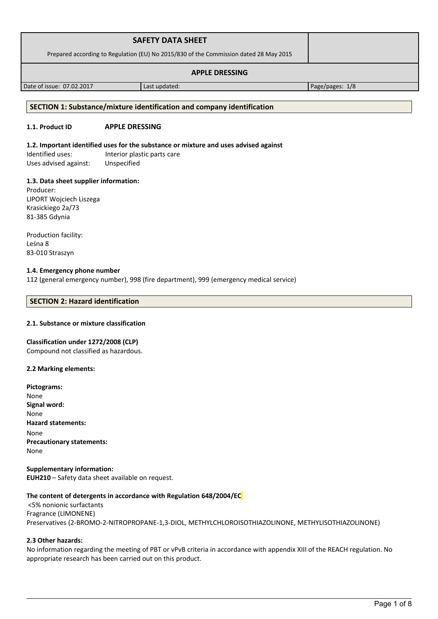| <b>SAFETY DATA SHEET</b>                                                              |  |
|---------------------------------------------------------------------------------------|--|
| Prepared according to Regulation (EU) No 2015/830 of the Commission dated 28 May 2015 |  |
| <b>APPLE DRESSING</b>                                                                 |  |

Date of issue: 07.02.2017 Last updated: Page/pages: 1/8

## **SECTION 1: Substance/mixture identification and company identification**

# **1.1. Product ID APPLE DRESSING**

# **1.2. Important identified uses for the substance or mixture and uses advised against**

Identified uses: Interior plastic parts care Uses advised against: Unspecified

# **1.3. Data sheet supplier information:**

Producer: LIPORT Wojciech Liszega Krasickiego 2a/73 81-385 Gdynia

Production facility: Leśna 8 83-010 Straszyn

### **1.4. Emergency phone number**

112 (general emergency number), 998 (fire department), 999 (emergency medical service)

### **SECTION 2: Hazard identification**

### **2.1. Substance or mixture classification**

### **Classification under 1272/2008 (CLP)**

Compound not classified as hazardous.

### **2.2 Marking elements:**

| Pictograms:                      |
|----------------------------------|
| None                             |
| Signal word:                     |
| None                             |
| <b>Hazard statements:</b>        |
| None                             |
| <b>Precautionary statements:</b> |
| None                             |
|                                  |

**Supplementary information: EUH210** – Safety data sheet available on request.

### **The content of detergents in accordance with Regulation 648/2004/EC**

 <5% nonionic surfactants Fragrance (LIMONENE) Preservatives (2-BROMO-2-NITROPROPANE-1,3-DIOL, METHYLCHLOROISOTHIAZOLINONE, METHYLISOTHIAZOLINONE)

### **2.3 Other hazards:**

No information regarding the meeting of PBT or vPvB criteria in accordance with appendix XIII of the REACH regulation. No appropriate research has been carried out on this product.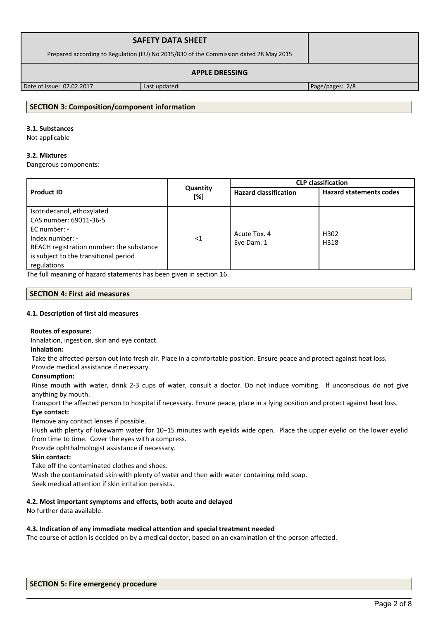| <b>SAFETY DATA SHEET</b>                                                              |  |
|---------------------------------------------------------------------------------------|--|
| Prepared according to Regulation (EU) No 2015/830 of the Commission dated 28 May 2015 |  |
| <b>APPLE DRESSING</b>                                                                 |  |

Date of issue: 07.02.2017 Last updated: Page/pages: 2/8

# **SECTION 3: Composition/component information**

# **3.1. Substances**

Not applicable

# **3.2. Mixtures**

Dangerous components:

|                                                                                                                                                                                               |                 | <b>CLP classification</b>    |                                |
|-----------------------------------------------------------------------------------------------------------------------------------------------------------------------------------------------|-----------------|------------------------------|--------------------------------|
| <b>Product ID</b>                                                                                                                                                                             | Quantity<br>[%] | <b>Hazard classification</b> | <b>Hazard statements codes</b> |
| Isotridecanol, ethoxylated<br>CAS number: 69011-36-5<br>$EC$ number: -<br>Index number: -<br>REACH registration number: the substance<br>is subject to the transitional period<br>regulations | $<$ 1           | Acute Tox. 4<br>Eye Dam. 1   | H302<br>H318                   |

The full meaning of hazard statements has been given in section 16.

### **SECTION 4: First aid measures**

### **4.1. Description of first aid measures**

### **Routes of exposure:**

Inhalation, ingestion, skin and eye contact.

### **Inhalation:**

Take the affected person out into fresh air. Place in a comfortable position. Ensure peace and protect against heat loss.

# Provide medical assistance if necessary.

### **Consumption:**

Rinse mouth with water, drink 2-3 cups of water, consult a doctor. Do not induce vomiting. If unconscious do not give anything by mouth.

Transport the affected person to hospital if necessary. Ensure peace, place in a lying position and protect against heat loss. **Eye contact:**

Remove any contact lenses if possible.

Flush with plenty of lukewarm water for 10–15 minutes with eyelids wide open. Place the upper eyelid on the lower eyelid from time to time. Cover the eyes with a compress.

Provide ophthalmologist assistance if necessary.

### **Skin contact:**

Take off the contaminated clothes and shoes.

Wash the contaminated skin with plenty of water and then with water containing mild soap.

Seek medical attention if skin irritation persists.

### **4.2. Most important symptoms and effects, both acute and delayed**

No further data available.

### **4.3. Indication of any immediate medical attention and special treatment needed**

The course of action is decided on by a medical doctor, based on an examination of the person affected.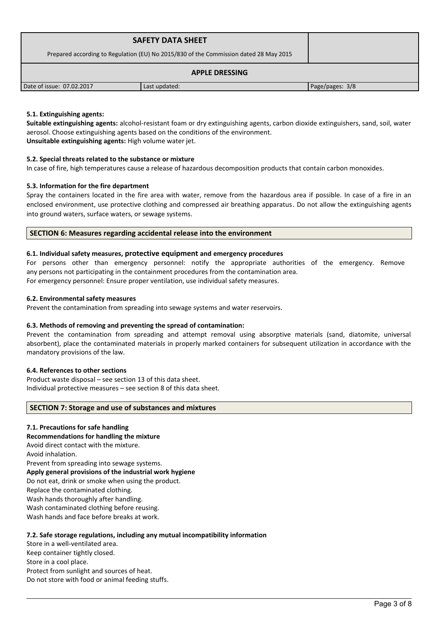| <b>SAFETY DATA SHEET</b><br>Prepared according to Regulation (EU) No 2015/830 of the Commission dated 28 May 2015 |               |                 |
|-------------------------------------------------------------------------------------------------------------------|---------------|-----------------|
| <b>APPLE DRESSING</b>                                                                                             |               |                 |
| Date of issue: 07.02.2017                                                                                         | Last updated: | Page/pages: 3/8 |

### **5.1. Extinguishing agents:**

**Suitable extinguishing agents:** alcohol-resistant foam or dry extinguishing agents, carbon dioxide extinguishers, sand, soil, water aerosol. Choose extinguishing agents based on the conditions of the environment. **Unsuitable extinguishing agents:** High volume water jet.

### **5.2. Special threats related to the substance or mixture**

In case of fire, high temperatures cause a release of hazardous decomposition products that contain carbon monoxides.

### **5.3. Information for the fire department**

Spray the containers located in the fire area with water, remove from the hazardous area if possible. In case of a fire in an enclosed environment, use protective clothing and compressed air breathing apparatus. Do not allow the extinguishing agents into ground waters, surface waters, or sewage systems.

### **SECTION 6: Measures regarding accidental release into the environment**

### **6.1. Individual safety measures, protective equipment and emergency procedures**

For persons other than emergency personnel: notify the appropriate authorities of the emergency. Remove any persons not participating in the containment procedures from the contamination area. For emergency personnel: Ensure proper ventilation, use individual safety measures.

**6.2. Environmental safety measures**

Prevent the contamination from spreading into sewage systems and water reservoirs.

### **6.3. Methods of removing and preventing the spread of contamination:**

Prevent the contamination from spreading and attempt removal using absorptive materials (sand, diatomite, universal absorbent), place the contaminated materials in properly marked containers for subsequent utilization in accordance with the mandatory provisions of the law.

### **6.4. References to other sections**

Product waste disposal – see section 13 of this data sheet. Individual protective measures – see section 8 of this data sheet.

### **SECTION 7: Storage and use of substances and mixtures**

### **7.1. Precautions for safe handling**

**Recommendations for handling the mixture** 

Avoid direct contact with the mixture.

Avoid inhalation.

Prevent from spreading into sewage systems. **Apply general provisions of the industrial work hygiene**  Do not eat, drink or smoke when using the product.

Replace the contaminated clothing.

Wash hands thoroughly after handling.

Wash contaminated clothing before reusing.

Wash hands and face before breaks at work.

### **7.2. Safe storage regulations, including any mutual incompatibility information**

Store in a well-ventilated area. Keep container tightly closed. Store in a cool place. Protect from sunlight and sources of heat. Do not store with food or animal feeding stuffs.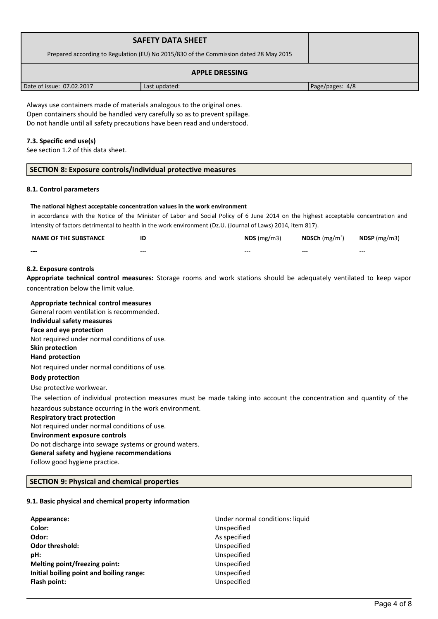| <b>SAFETY DATA SHEET</b><br>Prepared according to Regulation (EU) No 2015/830 of the Commission dated 28 May 2015 |               |                 |
|-------------------------------------------------------------------------------------------------------------------|---------------|-----------------|
| <b>APPLE DRESSING</b>                                                                                             |               |                 |
| Date of issue: 07.02.2017                                                                                         | Last updated: | Page/pages: 4/8 |

Always use containers made of materials analogous to the original ones. Open containers should be handled very carefully so as to prevent spillage. Do not handle until all safety precautions have been read and understood.

### **7.3. Specific end use(s)**

See section 1.2 of this data sheet.

### **SECTION 8: Exposure controls/individual protective measures**

#### **8.1. Control parameters**

#### **The national highest acceptable concentration values in the work environment**

in accordance with the Notice of the Minister of Labor and Social Policy of 6 June 2014 on the highest acceptable concentration and intensity of factors detrimental to health in the work environment (Dz.U. (Journal of Laws) 2014, item 817).

| <b>NAME OF THE SUBSTANCE</b> | ID      | NDS(mg/m3) | <b>NDSCh</b> (mg/m <sup>3</sup> ) | $NDSP$ (mg/m3) |
|------------------------------|---------|------------|-----------------------------------|----------------|
| ---                          | $- - -$ | $- - -$    | $- - -$                           | $- - -$        |

### **8.2. Exposure controls**

**Appropriate technical control measures:** Storage rooms and work stations should be adequately ventilated to keep vapor concentration below the limit value.

| Appropriate technical control measures                                                                                 |
|------------------------------------------------------------------------------------------------------------------------|
| General room ventilation is recommended.                                                                               |
| Individual safety measures                                                                                             |
| Face and eye protection                                                                                                |
| Not required under normal conditions of use.                                                                           |
| Skin protection                                                                                                        |
| <b>Hand protection</b>                                                                                                 |
| Not required under normal conditions of use.                                                                           |
| <b>Body protection</b>                                                                                                 |
| Use protective workwear.                                                                                               |
| The selection of individual protection measures must be made taking into account the concentration and quantity of the |
| hazardous substance occurring in the work environment.                                                                 |
| <b>Respiratory tract protection</b>                                                                                    |
| Not required under normal conditions of use.                                                                           |
| <b>Environment exposure controls</b>                                                                                   |
| Do not discharge into sewage systems or ground waters.                                                                 |
| General safety and hygiene recommendations                                                                             |
| Follow good hygiene practice.                                                                                          |
|                                                                                                                        |
| <b>SECTION 9: Physical and chemical properties</b>                                                                     |

# **9.1. Basic physical and chemical property information**

| Appearance:                              | Under normal conditions: liquid |
|------------------------------------------|---------------------------------|
| Color:                                   | Unspecified                     |
| Odor:                                    | As specified                    |
| <b>Odor threshold:</b>                   | Unspecified                     |
| pH:                                      | Unspecified                     |
| Melting point/freezing point:            | Unspecified                     |
| Initial boiling point and boiling range: | Unspecified                     |
| Flash point:                             | Unspecified                     |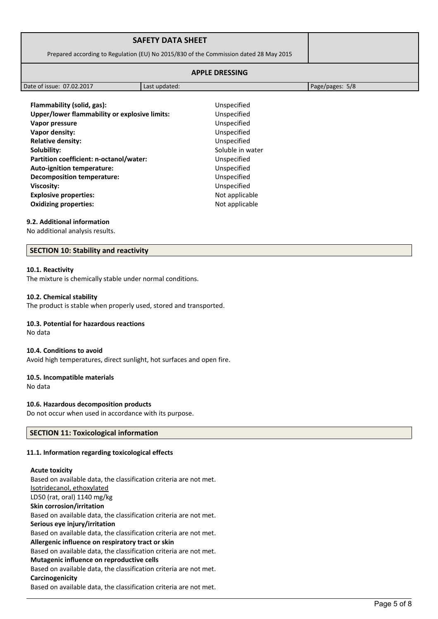|                                                                                       | <b>SAFETY DATA SHEET</b> |                 |
|---------------------------------------------------------------------------------------|--------------------------|-----------------|
| Prepared according to Regulation (EU) No 2015/830 of the Commission dated 28 May 2015 |                          |                 |
| <b>APPLE DRESSING</b>                                                                 |                          |                 |
| Date of issue: 07.02.2017                                                             | Last updated:            | Page/pages: 5/8 |
|                                                                                       |                          |                 |

**Flammability (solid, gas):** Unspecified **Unspecified Unspecified Unspecified Unspecified Soluble in water Unspecified Unspecified Unspecified Viscosity:** Unspecified **Explosive properties:** Not applicable

| Flammability (solid, gas):                    | Unspecified     |
|-----------------------------------------------|-----------------|
| Upper/lower flammability or explosive limits: | Unspecified     |
| Vapor pressure                                | Unspecified     |
| Vapor density:                                | Unspecified     |
| <b>Relative density:</b>                      | Unspecified     |
| Solubility:                                   | Soluble in wate |
| Partition coefficient: n-octanol/water:       | Unspecified     |
| <b>Auto-ignition temperature:</b>             | Unspecified     |
| <b>Decomposition temperature:</b>             | Unspecified     |
| Viscosity:                                    | Unspecified     |
| <b>Explosive properties:</b>                  | Not applicable  |
| <b>Oxidizing properties:</b>                  | Not applicable  |

#### **9.2. Additional information**

No additional analysis results.

#### **SECTION 10: Stability and reactivity**

#### **10.1. Reactivity**

The mixture is chemically stable under normal conditions.

#### **10.2. Chemical stability**

The product is stable when properly used, stored and transported.

### **10.3. Potential for hazardous reactions**

No data

#### **10.4. Conditions to avoid**

Avoid high temperatures, direct sunlight, hot surfaces and open fire.

#### **10.5. Incompatible materials**

No data

#### **10.6. Hazardous decomposition products**

Do not occur when used in accordance with its purpose.

#### **SECTION 11: Toxicological information**

#### **11.1. Information regarding toxicological effects**

#### **Acute toxicity**

Based on available data, the classification criteria are not met. Isotridecanol, ethoxylated LD50 (rat, oral) 1140 mg/kg **Skin corrosion/irritation** Based on available data, the classification criteria are not met. **Serious eye injury/irritation** Based on available data, the classification criteria are not met. **Allergenic influence on respiratory tract or skin** Based on available data, the classification criteria are not met. **Mutagenic influence on reproductive cells** Based on available data, the classification criteria are not met. **Carcinogenicity** Based on available data, the classification criteria are not met.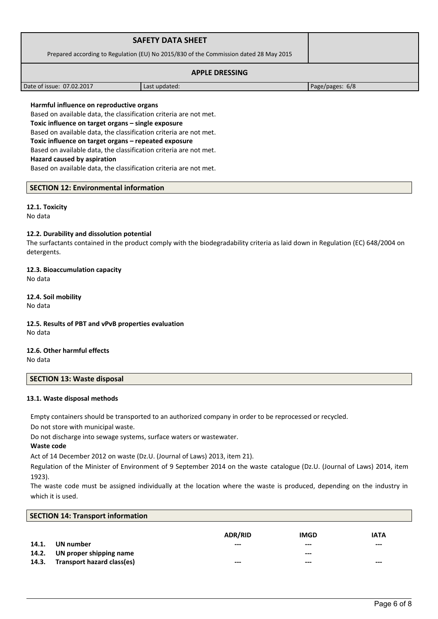|                                                                                       | <b>SAFETY DATA SHEET</b> |                 |
|---------------------------------------------------------------------------------------|--------------------------|-----------------|
| Prepared according to Regulation (EU) No 2015/830 of the Commission dated 28 May 2015 |                          |                 |
| <b>APPLE DRESSING</b>                                                                 |                          |                 |
| Date of issue: 07.02.2017                                                             | Last updated:            | Page/pages: 6/8 |

#### **Harmful influence on reproductive organs**

Based on available data, the classification criteria are not met.

**Toxic influence on target organs – single exposure**

Based on available data, the classification criteria are not met.

**Toxic influence on target organs – repeated exposure**

Based on available data, the classification criteria are not met.

#### **Hazard caused by aspiration**

Based on available data, the classification criteria are not met.

### **SECTION 12: Environmental information**

### **12.1. Toxicity**

No data

#### **12.2. Durability and dissolution potential**

The surfactants contained in the product comply with the biodegradability criteria as laid down in Regulation (EC) 648/2004 on detergents.

### **12.3. Bioaccumulation capacity** No data

**12.4. Soil mobility** No data

### **12.5. Results of PBT and vPvB properties evaluation** No data

### **12.6. Other harmful effects** No data

### **SECTION 13: Waste disposal**

#### **13.1. Waste disposal methods**

Empty containers should be transported to an authorized company in order to be reprocessed or recycled.

Do not store with municipal waste.

Do not discharge into sewage systems, surface waters or wastewater.

### **Waste code**

Act of 14 December 2012 on waste (Dz.U. (Journal of Laws) 2013, item 21).

Regulation of the Minister of Environment of 9 September 2014 on the waste catalogue (Dz.U. (Journal of Laws) 2014, item 1923).

The waste code must be assigned individually at the location where the waste is produced, depending on the industry in which it is used.

|  | <b>SECTION 14: Transport information</b> |
|--|------------------------------------------|
|--|------------------------------------------|

|       |                               | <b>ADR/RID</b> | <b>IMGD</b> | <b>IATA</b> |
|-------|-------------------------------|----------------|-------------|-------------|
| 14.1. | UN number                     | $--$           | $- - -$     | $---$       |
|       | 14.2. UN proper shipping name |                | $---$       |             |
| 14.3. | Transport hazard class(es)    | $--$           | $---$       | $---$       |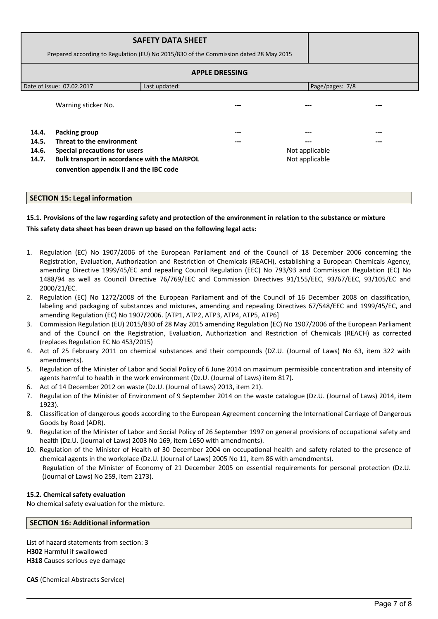| <b>SAFETY DATA SHEET</b><br>Prepared according to Regulation (EU) No 2015/830 of the Commission dated 28 May 2015 |                                                                                    |               |                |                 |  |  |  |
|-------------------------------------------------------------------------------------------------------------------|------------------------------------------------------------------------------------|---------------|----------------|-----------------|--|--|--|
| <b>APPLE DRESSING</b>                                                                                             |                                                                                    |               |                |                 |  |  |  |
|                                                                                                                   | Date of issue: 07.02.2017                                                          | Last updated: |                | Page/pages: 7/8 |  |  |  |
|                                                                                                                   | Warning sticker No.                                                                |               | ---            |                 |  |  |  |
| 14.4.<br>14.5.<br>14.6.                                                                                           | <b>Packing group</b><br>Threat to the environment<br>Special precautions for users |               | ---<br>---     | Not applicable  |  |  |  |
| Bulk transport in accordance with the MARPOL<br>14.7.<br>convention appendix II and the IBC code                  |                                                                                    |               | Not applicable |                 |  |  |  |

### **SECTION 15: Legal information**

# **15.1. Provisions of the law regarding safety and protection of the environment in relation to the substance or mixture This safety data sheet has been drawn up based on the following legal acts:**

- 1. Regulation (EC) No 1907/2006 of the European Parliament and of the Council of 18 December 2006 concerning the Registration, Evaluation, Authorization and Restriction of Chemicals (REACH), establishing a European Chemicals Agency, amending Directive 1999/45/EC and repealing Council Regulation (EEC) No 793/93 and Commission Regulation (EC) No 1488/94 as well as Council Directive 76/769/EEC and Commission Directives 91/155/EEC, 93/67/EEC, 93/105/EC and 2000/21/EC.
- 2. Regulation (EC) No 1272/2008 of the European Parliament and of the Council of 16 December 2008 on classification, labeling and packaging of substances and mixtures, amending and repealing Directives 67/548/EEC and 1999/45/EC, and amending Regulation (EC) No 1907/2006. [ATP1, ATP2, ATP3, ATP4, ATP5, ATP6]
- 3. Commission Regulation (EU) 2015/830 of 28 May 2015 amending Regulation (EC) No 1907/2006 of the European Parliament and of the Council on the Registration, Evaluation, Authorization and Restriction of Chemicals (REACH) as corrected (replaces Regulation EC No 453/2015)
- 4. Act of 25 February 2011 on chemical substances and their compounds (DZ.U. (Journal of Laws) No 63, item 322 with amendments).
- 5. Regulation of the Minister of Labor and Social Policy of 6 June 2014 on maximum permissible concentration and intensity of agents harmful to health in the work environment (Dz.U. (Journal of Laws) item 817).
- 6. Act of 14 December 2012 on waste (Dz.U. (Journal of Laws) 2013, item 21).
- 7. Regulation of the Minister of Environment of 9 September 2014 on the waste catalogue (Dz.U. (Journal of Laws) 2014, item 1923).
- 8. Classification of dangerous goods according to the European Agreement concerning the International Carriage of Dangerous Goods by Road (ADR).
- 9. Regulation of the Minister of Labor and Social Policy of 26 September 1997 on general provisions of occupational safety and health (Dz.U. (Journal of Laws) 2003 No 169, item 1650 with amendments).
- 10. Regulation of the Minister of Health of 30 December 2004 on occupational health and safety related to the presence of chemical agents in the workplace (Dz.U. (Journal of Laws) 2005 No 11, item 86 with amendments). Regulation of the Minister of Economy of 21 December 2005 on essential requirements for personal protection (Dz.U.

### **15.2. Chemical safety evaluation**

No chemical safety evaluation for the mixture.

(Journal of Laws) No 259, item 2173).

### **SECTION 16: Additional information**

List of hazard statements from section: 3 **H302** Harmful if swallowed **H318** Causes serious eye damage

**CAS** (Chemical Abstracts Service)